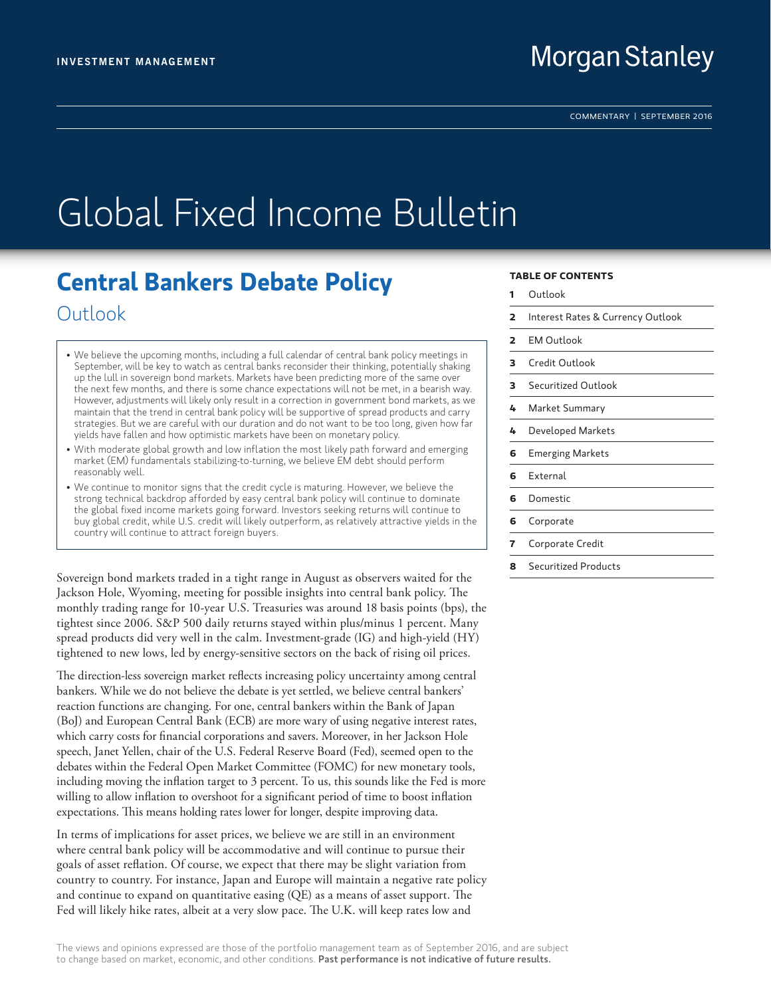# **Morgan Stanley**

# Global Fixed Income Bulletin

## **Central Bankers Debate Policy Outlook**

- We believe the upcoming months, including a full calendar of central bank policy meetings in September, will be key to watch as central banks reconsider their thinking, potentially shaking up the lull in sovereign bond markets. Markets have been predicting more of the same over the next few months, and there is some chance expectations will not be met, in a bearish way. However, adjustments will likely only result in a correction in government bond markets, as we maintain that the trend in central bank policy will be supportive of spread products and carry strategies. But we are careful with our duration and do not want to be too long, given how far yields have fallen and how optimistic markets have been on monetary policy.
- With moderate global growth and low inflation the most likely path forward and emerging market (EM) fundamentals stabilizing-to-turning, we believe EM debt should perform reasonably well.
- We continue to monitor signs that the credit cycle is maturing. However, we believe the strong technical backdrop afforded by easy central bank policy will continue to dominate the global fixed income markets going forward. Investors seeking returns will continue to buy global credit, while U.S. credit will likely outperform, as relatively attractive yields in the country will continue to attract foreign buyers.

Sovereign bond markets traded in a tight range in August as observers waited for the Jackson Hole, Wyoming, meeting for possible insights into central bank policy. The monthly trading range for 10-year U.S. Treasuries was around 18 basis points (bps), the tightest since 2006. S&P 500 daily returns stayed within plus/minus 1 percent. Many spread products did very well in the calm. Investment-grade (IG) and high-yield (HY) tightened to new lows, led by energy-sensitive sectors on the back of rising oil prices.

The direction-less sovereign market reflects increasing policy uncertainty among central bankers. While we do not believe the debate is yet settled, we believe central bankers' reaction functions are changing. For one, central bankers within the Bank of Japan (BoJ) and European Central Bank (ECB) are more wary of using negative interest rates, which carry costs for financial corporations and savers. Moreover, in her Jackson Hole speech, Janet Yellen, chair of the U.S. Federal Reserve Board (Fed), seemed open to the debates within the Federal Open Market Committee (FOMC) for new monetary tools, including moving the inflation target to 3 percent. To us, this sounds like the Fed is more willing to allow inflation to overshoot for a significant period of time to boost inflation expectations. This means holding rates lower for longer, despite improving data.

In terms of implications for asset prices, we believe we are still in an environment where central bank policy will be accommodative and will continue to pursue their goals of asset reflation. Of course, we expect that there may be slight variation from country to country. For instance, Japan and Europe will maintain a negative rate policy and continue to expand on quantitative easing (QE) as a means of asset support. The Fed will likely hike rates, albeit at a very slow pace. The U.K. will keep rates low and

#### **TABLE OF CONTENTS**

|  | Outlook |
|--|---------|
|  |         |

- **2** Interest Rates & Currency Outlook
- **2** EM Outlook
- **3** Credit Outlook
- **3** Securitized Outlook
- **4** Market Summary
- **4** Developed Markets
- **6** Emerging Markets
- **6** External
- **6** Domestic
- **6** Corporate
- **7** Corporate Credit
- **8** Securitized Products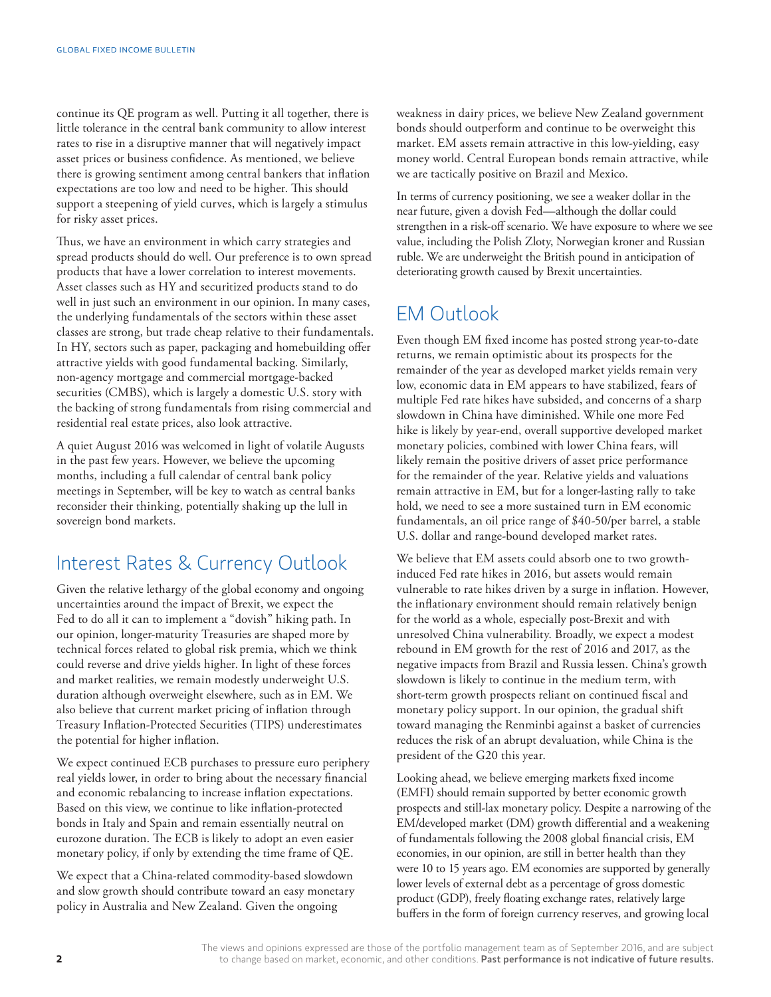continue its QE program as well. Putting it all together, there is little tolerance in the central bank community to allow interest rates to rise in a disruptive manner that will negatively impact asset prices or business confidence. As mentioned, we believe there is growing sentiment among central bankers that inflation expectations are too low and need to be higher. This should support a steepening of yield curves, which is largely a stimulus for risky asset prices.

Thus, we have an environment in which carry strategies and spread products should do well. Our preference is to own spread products that have a lower correlation to interest movements. Asset classes such as HY and securitized products stand to do well in just such an environment in our opinion. In many cases, the underlying fundamentals of the sectors within these asset classes are strong, but trade cheap relative to their fundamentals. In HY, sectors such as paper, packaging and homebuilding offer attractive yields with good fundamental backing. Similarly, non-agency mortgage and commercial mortgage-backed securities (CMBS), which is largely a domestic U.S. story with the backing of strong fundamentals from rising commercial and residential real estate prices, also look attractive.

A quiet August 2016 was welcomed in light of volatile Augusts in the past few years. However, we believe the upcoming months, including a full calendar of central bank policy meetings in September, will be key to watch as central banks reconsider their thinking, potentially shaking up the lull in sovereign bond markets.

### Interest Rates & Currency Outlook

Given the relative lethargy of the global economy and ongoing uncertainties around the impact of Brexit, we expect the Fed to do all it can to implement a "dovish" hiking path. In our opinion, longer-maturity Treasuries are shaped more by technical forces related to global risk premia, which we think could reverse and drive yields higher. In light of these forces and market realities, we remain modestly underweight U.S. duration although overweight elsewhere, such as in EM. We also believe that current market pricing of inflation through Treasury Inflation-Protected Securities (TIPS) underestimates the potential for higher inflation.

We expect continued ECB purchases to pressure euro periphery real yields lower, in order to bring about the necessary financial and economic rebalancing to increase inflation expectations. Based on this view, we continue to like inflation-protected bonds in Italy and Spain and remain essentially neutral on eurozone duration. The ECB is likely to adopt an even easier monetary policy, if only by extending the time frame of QE.

We expect that a China-related commodity-based slowdown and slow growth should contribute toward an easy monetary policy in Australia and New Zealand. Given the ongoing

weakness in dairy prices, we believe New Zealand government bonds should outperform and continue to be overweight this market. EM assets remain attractive in this low-yielding, easy money world. Central European bonds remain attractive, while we are tactically positive on Brazil and Mexico.

In terms of currency positioning, we see a weaker dollar in the near future, given a dovish Fed—although the dollar could strengthen in a risk-off scenario. We have exposure to where we see value, including the Polish Zloty, Norwegian kroner and Russian ruble. We are underweight the British pound in anticipation of deteriorating growth caused by Brexit uncertainties.

### EM Outlook

Even though EM fixed income has posted strong year-to-date returns, we remain optimistic about its prospects for the remainder of the year as developed market yields remain very low, economic data in EM appears to have stabilized, fears of multiple Fed rate hikes have subsided, and concerns of a sharp slowdown in China have diminished. While one more Fed hike is likely by year-end, overall supportive developed market monetary policies, combined with lower China fears, will likely remain the positive drivers of asset price performance for the remainder of the year. Relative yields and valuations remain attractive in EM, but for a longer-lasting rally to take hold, we need to see a more sustained turn in EM economic fundamentals, an oil price range of \$40-50/per barrel, a stable U.S. dollar and range-bound developed market rates.

We believe that EM assets could absorb one to two growthinduced Fed rate hikes in 2016, but assets would remain vulnerable to rate hikes driven by a surge in inflation. However, the inflationary environment should remain relatively benign for the world as a whole, especially post-Brexit and with unresolved China vulnerability. Broadly, we expect a modest rebound in EM growth for the rest of 2016 and 2017, as the negative impacts from Brazil and Russia lessen. China's growth slowdown is likely to continue in the medium term, with short-term growth prospects reliant on continued fiscal and monetary policy support. In our opinion, the gradual shift toward managing the Renminbi against a basket of currencies reduces the risk of an abrupt devaluation, while China is the president of the G20 this year.

Looking ahead, we believe emerging markets fixed income (EMFI) should remain supported by better economic growth prospects and still-lax monetary policy. Despite a narrowing of the EM/developed market (DM) growth differential and a weakening of fundamentals following the 2008 global financial crisis, EM economies, in our opinion, are still in better health than they were 10 to 15 years ago. EM economies are supported by generally lower levels of external debt as a percentage of gross domestic product (GDP), freely floating exchange rates, relatively large buffers in the form of foreign currency reserves, and growing local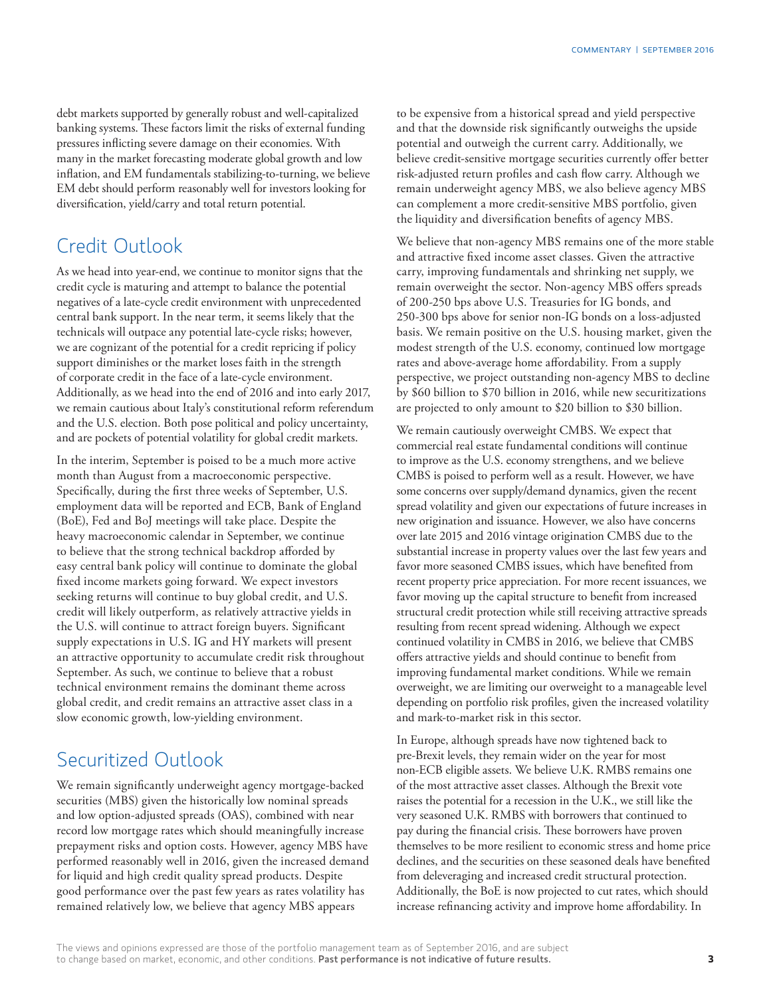debt markets supported by generally robust and well-capitalized banking systems. These factors limit the risks of external funding pressures inflicting severe damage on their economies. With many in the market forecasting moderate global growth and low inflation, and EM fundamentals stabilizing-to-turning, we believe EM debt should perform reasonably well for investors looking for diversification, yield/carry and total return potential.

### Credit Outlook

As we head into year-end, we continue to monitor signs that the credit cycle is maturing and attempt to balance the potential negatives of a late-cycle credit environment with unprecedented central bank support. In the near term, it seems likely that the technicals will outpace any potential late-cycle risks; however, we are cognizant of the potential for a credit repricing if policy support diminishes or the market loses faith in the strength of corporate credit in the face of a late-cycle environment. Additionally, as we head into the end of 2016 and into early 2017, we remain cautious about Italy's constitutional reform referendum and the U.S. election. Both pose political and policy uncertainty, and are pockets of potential volatility for global credit markets.

In the interim, September is poised to be a much more active month than August from a macroeconomic perspective. Specifically, during the first three weeks of September, U.S. employment data will be reported and ECB, Bank of England (BoE), Fed and BoJ meetings will take place. Despite the heavy macroeconomic calendar in September, we continue to believe that the strong technical backdrop afforded by easy central bank policy will continue to dominate the global fixed income markets going forward. We expect investors seeking returns will continue to buy global credit, and U.S. credit will likely outperform, as relatively attractive yields in the U.S. will continue to attract foreign buyers. Significant supply expectations in U.S. IG and HY markets will present an attractive opportunity to accumulate credit risk throughout September. As such, we continue to believe that a robust technical environment remains the dominant theme across global credit, and credit remains an attractive asset class in a slow economic growth, low-yielding environment.

### Securitized Outlook

We remain significantly underweight agency mortgage-backed securities (MBS) given the historically low nominal spreads and low option-adjusted spreads (OAS), combined with near record low mortgage rates which should meaningfully increase prepayment risks and option costs. However, agency MBS have performed reasonably well in 2016, given the increased demand for liquid and high credit quality spread products. Despite good performance over the past few years as rates volatility has remained relatively low, we believe that agency MBS appears

to be expensive from a historical spread and yield perspective and that the downside risk significantly outweighs the upside potential and outweigh the current carry. Additionally, we believe credit-sensitive mortgage securities currently offer better risk-adjusted return profiles and cash flow carry. Although we remain underweight agency MBS, we also believe agency MBS can complement a more credit-sensitive MBS portfolio, given the liquidity and diversification benefits of agency MBS.

We believe that non-agency MBS remains one of the more stable and attractive fixed income asset classes. Given the attractive carry, improving fundamentals and shrinking net supply, we remain overweight the sector. Non-agency MBS offers spreads of 200-250 bps above U.S. Treasuries for IG bonds, and 250-300 bps above for senior non-IG bonds on a loss-adjusted basis. We remain positive on the U.S. housing market, given the modest strength of the U.S. economy, continued low mortgage rates and above-average home affordability. From a supply perspective, we project outstanding non-agency MBS to decline by \$60 billion to \$70 billion in 2016, while new securitizations are projected to only amount to \$20 billion to \$30 billion.

We remain cautiously overweight CMBS. We expect that commercial real estate fundamental conditions will continue to improve as the U.S. economy strengthens, and we believe CMBS is poised to perform well as a result. However, we have some concerns over supply/demand dynamics, given the recent spread volatility and given our expectations of future increases in new origination and issuance. However, we also have concerns over late 2015 and 2016 vintage origination CMBS due to the substantial increase in property values over the last few years and favor more seasoned CMBS issues, which have benefited from recent property price appreciation. For more recent issuances, we favor moving up the capital structure to benefit from increased structural credit protection while still receiving attractive spreads resulting from recent spread widening. Although we expect continued volatility in CMBS in 2016, we believe that CMBS offers attractive yields and should continue to benefit from improving fundamental market conditions. While we remain overweight, we are limiting our overweight to a manageable level depending on portfolio risk profiles, given the increased volatility and mark-to-market risk in this sector.

In Europe, although spreads have now tightened back to pre-Brexit levels, they remain wider on the year for most non-ECB eligible assets. We believe U.K. RMBS remains one of the most attractive asset classes. Although the Brexit vote raises the potential for a recession in the U.K., we still like the very seasoned U.K. RMBS with borrowers that continued to pay during the financial crisis. These borrowers have proven themselves to be more resilient to economic stress and home price declines, and the securities on these seasoned deals have benefited from deleveraging and increased credit structural protection. Additionally, the BoE is now projected to cut rates, which should increase refinancing activity and improve home affordability. In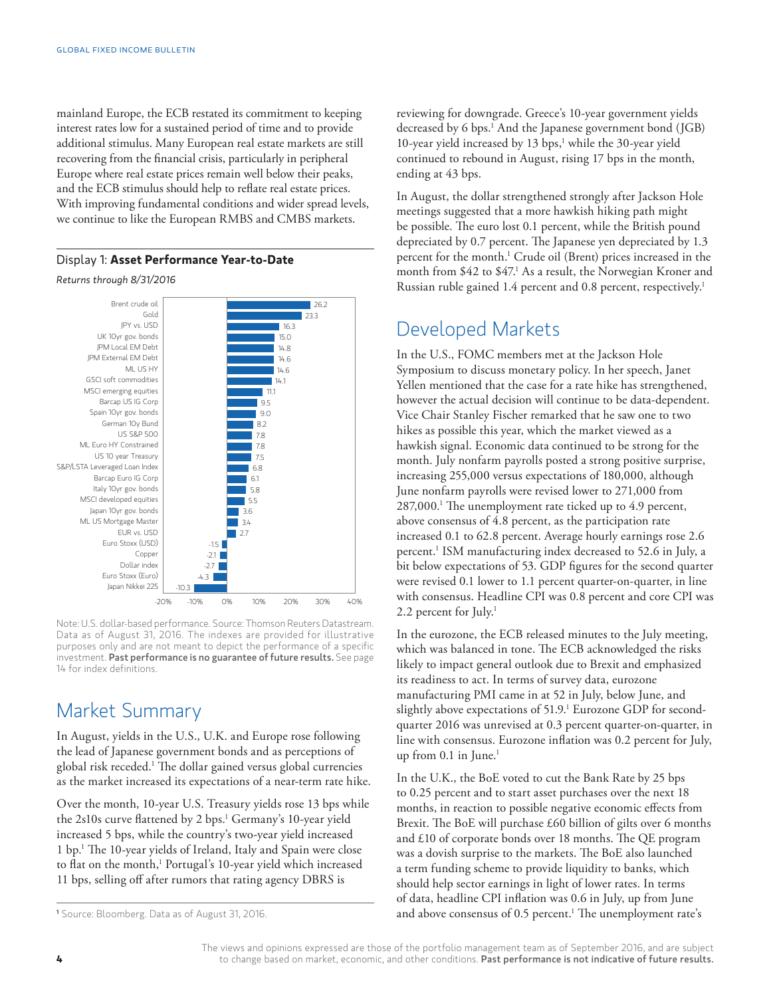mainland Europe, the ECB restated its commitment to keeping interest rates low for a sustained period of time and to provide additional stimulus. Many European real estate markets are still recovering from the financial crisis, particularly in peripheral Europe where real estate prices remain well below their peaks, and the ECB stimulus should help to reflate real estate prices. With improving fundamental conditions and wider spread levels, we continue to like the European RMBS and CMBS markets.

#### Display 1: **Asset Performance Year-to-Date**

*Returns through 8/31/2016*



Note: U.S. dollar-based performance. Source: Thomson Reuters Datastream. Data as of August 31, 2016. The indexes are provided for illustrative purposes only and are not meant to depict the performance of a specific investment. Past performance is no guarantee of future results. See page 14 for index definitions.

### Market Summary

In August, yields in the U.S., U.K. and Europe rose following the lead of Japanese government bonds and as perceptions of global risk receded.1 The dollar gained versus global currencies as the market increased its expectations of a near-term rate hike.

Over the month, 10-year U.S. Treasury yields rose 13 bps while the 2s10s curve flattened by 2 bps.<sup>1</sup> Germany's 10-year yield increased 5 bps, while the country's two-year yield increased 1 bp.1 The 10-year yields of Ireland, Italy and Spain were close to flat on the month,<sup>1</sup> Portugal's 10-year yield which increased 11 bps, selling off after rumors that rating agency DBRS is

reviewing for downgrade. Greece's 10-year government yields decreased by 6 bps.<sup>1</sup> And the Japanese government bond (JGB) 10-year yield increased by 13 bps,<sup>1</sup> while the 30-year yield continued to rebound in August, rising 17 bps in the month, ending at 43 bps.

In August, the dollar strengthened strongly after Jackson Hole meetings suggested that a more hawkish hiking path might be possible. The euro lost 0.1 percent, while the British pound depreciated by 0.7 percent. The Japanese yen depreciated by 1.3 percent for the month.<sup>1</sup> Crude oil (Brent) prices increased in the month from \$42 to \$47.<sup>1</sup> As a result, the Norwegian Kroner and Russian ruble gained 1.4 percent and 0.8 percent, respectively.<sup>1</sup>

### Developed Markets

In the U.S., FOMC members met at the Jackson Hole Symposium to discuss monetary policy. In her speech, Janet Yellen mentioned that the case for a rate hike has strengthened, however the actual decision will continue to be data-dependent. Vice Chair Stanley Fischer remarked that he saw one to two hikes as possible this year, which the market viewed as a hawkish signal. Economic data continued to be strong for the month. July nonfarm payrolls posted a strong positive surprise, increasing 255,000 versus expectations of 180,000, although June nonfarm payrolls were revised lower to 271,000 from 287,000.1 The unemployment rate ticked up to 4.9 percent, above consensus of 4.8 percent, as the participation rate increased 0.1 to 62.8 percent. Average hourly earnings rose 2.6 percent.<sup>1</sup> ISM manufacturing index decreased to 52.6 in July, a bit below expectations of 53. GDP figures for the second quarter were revised 0.1 lower to 1.1 percent quarter-on-quarter, in line with consensus. Headline CPI was 0.8 percent and core CPI was 2.2 percent for July.<sup>1</sup>

In the eurozone, the ECB released minutes to the July meeting, which was balanced in tone. The ECB acknowledged the risks likely to impact general outlook due to Brexit and emphasized its readiness to act. In terms of survey data, eurozone manufacturing PMI came in at 52 in July, below June, and slightly above expectations of 51.9.<sup>1</sup> Eurozone GDP for secondquarter 2016 was unrevised at 0.3 percent quarter-on-quarter, in line with consensus. Eurozone inflation was 0.2 percent for July, up from 0.1 in June.<sup>1</sup>

In the U.K., the BoE voted to cut the Bank Rate by 25 bps to 0.25 percent and to start asset purchases over the next 18 months, in reaction to possible negative economic effects from Brexit. The BoE will purchase £60 billion of gilts over 6 months and £10 of corporate bonds over 18 months. The QE program was a dovish surprise to the markets. The BoE also launched a term funding scheme to provide liquidity to banks, which should help sector earnings in light of lower rates. In terms of data, headline CPI inflation was 0.6 in July, up from June and above consensus of 0.5 percent.1 The unemployment rate's **<sup>1</sup>**

<sup>&</sup>lt;sup>1</sup> Source: Bloomberg. Data as of August 31, 2016.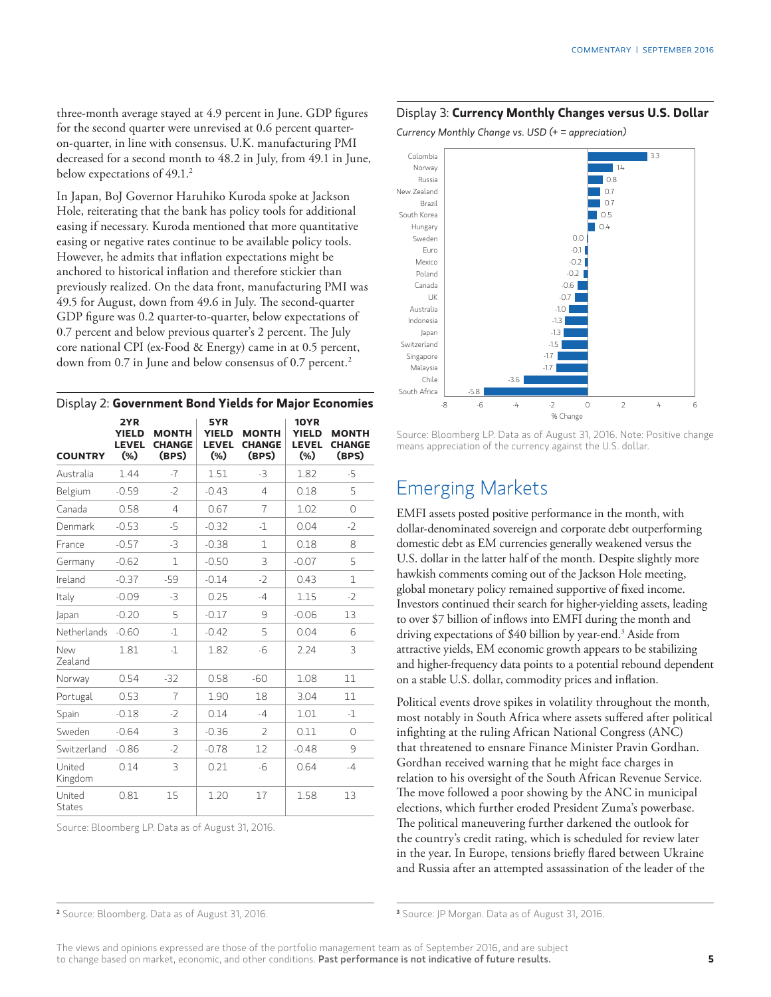three-month average stayed at 4.9 percent in June. GDP figures for the second quarter were unrevised at 0.6 percent quarteron-quarter, in line with consensus. U.K. manufacturing PMI decreased for a second month to 48.2 in July, from 49.1 in June, below expectations of 49.1.<sup>2</sup>

In Japan, BoJ Governor Haruhiko Kuroda spoke at Jackson Hole, reiterating that the bank has policy tools for additional easing if necessary. Kuroda mentioned that more quantitative easing or negative rates continue to be available policy tools. However, he admits that inflation expectations might be anchored to historical inflation and therefore stickier than previously realized. On the data front, manufacturing PMI was 49.5 for August, down from 49.6 in July. The second-quarter GDP figure was 0.2 quarter-to-quarter, below expectations of 0.7 percent and below previous quarter's 2 percent. The July core national CPI (ex-Food & Energy) came in at 0.5 percent, down from 0.7 in June and below consensus of 0.7 percent.<sup>2</sup>

| Display 2: Government Bond Yields for Major Economies |                                            |                                        |                                               |                                        |                                                       |                                 |
|-------------------------------------------------------|--------------------------------------------|----------------------------------------|-----------------------------------------------|----------------------------------------|-------------------------------------------------------|---------------------------------|
| <b>COUNTRY</b>                                        | 2YR<br><b>YIELD</b><br><b>LEVEL</b><br>(%) | <b>MONTH</b><br><b>CHANGE</b><br>(BPS) | 5YR<br><b>YIELD</b><br><b>LEVEL</b><br>$(\%)$ | <b>MONTH</b><br><b>CHANGE</b><br>(BPS) | <b>10YR</b><br><b>YIELD</b><br><b>LEVEL</b><br>$(\%)$ | MONTH<br><b>CHANGE</b><br>(BPS) |
| Australia                                             | 1.44                                       | $-7$                                   | 1.51                                          | $-3$                                   | 1.82                                                  | -5                              |
| Belgium                                               | $-0.59$                                    | $-2$                                   | $-0.43$                                       | $\overline{4}$                         | 0.18                                                  | 5                               |
| Canada                                                | 0.58                                       | $\overline{4}$                         | 0.67                                          | $\overline{7}$                         | 1.02                                                  | $\circ$                         |
| Denmark                                               | $-0.53$                                    | -5                                     | $-0.32$                                       | $-1$                                   | 0.04                                                  | $-2$                            |
| France                                                | $-0.57$                                    | $-3$                                   | $-0.38$                                       | 1                                      | 0.18                                                  | 8                               |
| Germany                                               | $-0.62$                                    | 1                                      | $-0.50$                                       | 3                                      | $-0.07$                                               | 5                               |
| Ireland                                               | $-0.37$                                    | $-59$                                  | $-0.14$                                       | $-2$                                   | 0.43                                                  | 1                               |
| Italy                                                 | $-0.09$                                    | $-3$                                   | 0.25                                          | $-4$                                   | 1.15                                                  | $-2$                            |
| Japan                                                 | $-0.20$                                    | 5                                      | $-0.17$                                       | 9                                      | $-0.06$                                               | 13                              |
| Netherlands                                           | $-0.60$                                    | $-1$                                   | $-0.42$                                       | 5                                      | 0.04                                                  | 6                               |
| New<br>Zealand                                        | 1.81                                       | $-1$                                   | 1.82                                          | -6                                     | 2.24                                                  | 3                               |
| Norway                                                | 0.54                                       | $-32$                                  | 0.58                                          | $-60$                                  | 1.08                                                  | 11                              |
| Portugal                                              | 0.53                                       | $\overline{7}$                         | 1.90                                          | 18                                     | 3.04                                                  | 11                              |
| Spain                                                 | $-0.18$                                    | $-2$                                   | 0.14                                          | $-4$                                   | 1.01                                                  | $-1$                            |
| Sweden                                                | $-0.64$                                    | 3                                      | $-0.36$                                       | $\overline{2}$                         | 0.11                                                  | $\Omega$                        |
| Switzerland                                           | $-0.86$                                    | $-2$                                   | $-0.78$                                       | 12                                     | $-0.48$                                               | 9                               |
| United<br>Kingdom                                     | 0.14                                       | 3                                      | 0.21                                          | -6                                     | 0.64                                                  | $-4$                            |
| United<br><b>States</b>                               | 0.81                                       | 15                                     | 1.20                                          | 17                                     | 1.58                                                  | 13                              |

Source: Bloomberg LP. Data as of August 31, 2016.

#### Display 3: **Currency Monthly Changes versus U.S. Dollar**

*Currency Monthly Change vs. USD (+ = appreciation)*



Source: Bloomberg LP. Data as of August 31, 2016. Note: Positive change means appreciation of the currency against the U.S. dollar.

### Emerging Markets

EMFI assets posted positive performance in the month, with dollar-denominated sovereign and corporate debt outperforming domestic debt as EM currencies generally weakened versus the U.S. dollar in the latter half of the month. Despite slightly more hawkish comments coming out of the Jackson Hole meeting, global monetary policy remained supportive of fixed income. Investors continued their search for higher-yielding assets, leading to over \$7 billion of inflows into EMFI during the month and driving expectations of \$40 billion by year-end.<sup>3</sup> Aside from attractive yields, EM economic growth appears to be stabilizing and higher-frequency data points to a potential rebound dependent on a stable U.S. dollar, commodity prices and inflation.

Political events drove spikes in volatility throughout the month, most notably in South Africa where assets suffered after political infighting at the ruling African National Congress (ANC) that threatened to ensnare Finance Minister Pravin Gordhan. Gordhan received warning that he might face charges in relation to his oversight of the South African Revenue Service. The move followed a poor showing by the ANC in municipal elections, which further eroded President Zuma's powerbase. The political maneuvering further darkened the outlook for the country's credit rating, which is scheduled for review later in the year. In Europe, tensions briefly flared between Ukraine and Russia after an attempted assassination of the leader of the

The views and opinions expressed are those of the portfolio management team as of September 2016, and are subject to change based on market, economic, and other conditions. Past performance is not indicative of future results.

**<sup>2</sup>** Source: Bloomberg. Data as of August 31, 2016. **<sup>3</sup>**

<sup>&</sup>lt;sup>3</sup> Source: JP Morgan. Data as of August 31, 2016.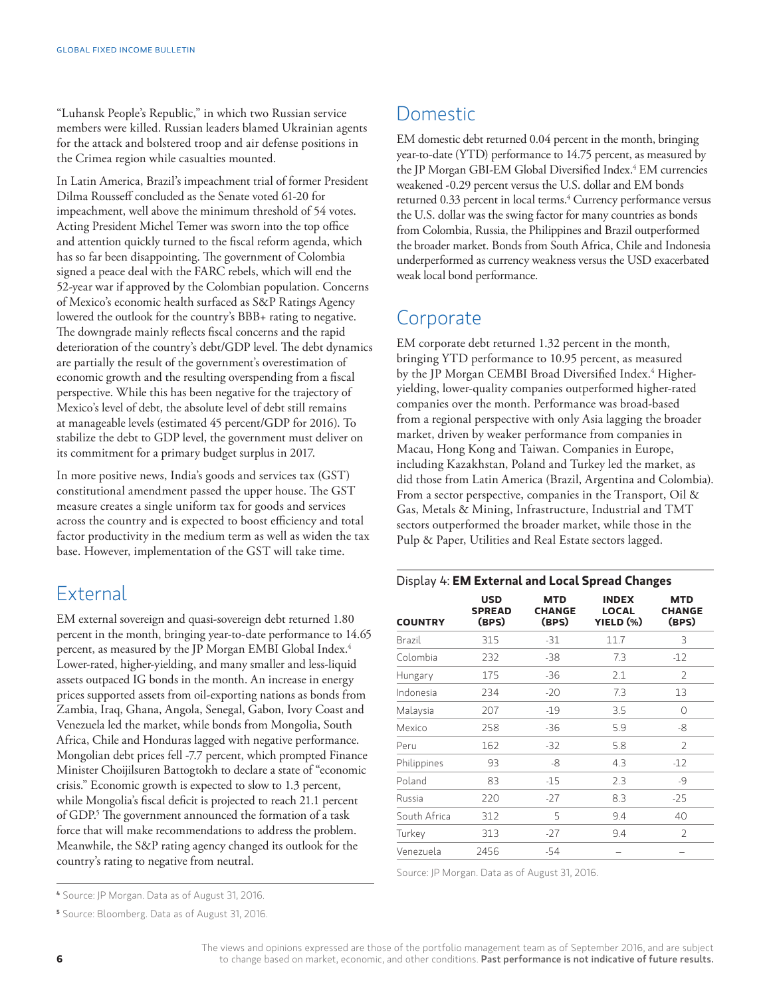"Luhansk People's Republic," in which two Russian service members were killed. Russian leaders blamed Ukrainian agents for the attack and bolstered troop and air defense positions in the Crimea region while casualties mounted.

In Latin America, Brazil's impeachment trial of former President Dilma Rousseff concluded as the Senate voted 61-20 for impeachment, well above the minimum threshold of 54 votes. Acting President Michel Temer was sworn into the top office and attention quickly turned to the fiscal reform agenda, which has so far been disappointing. The government of Colombia signed a peace deal with the FARC rebels, which will end the 52-year war if approved by the Colombian population. Concerns of Mexico's economic health surfaced as S&P Ratings Agency lowered the outlook for the country's BBB+ rating to negative. The downgrade mainly reflects fiscal concerns and the rapid deterioration of the country's debt/GDP level. The debt dynamics are partially the result of the government's overestimation of economic growth and the resulting overspending from a fiscal perspective. While this has been negative for the trajectory of Mexico's level of debt, the absolute level of debt still remains at manageable levels (estimated 45 percent/GDP for 2016). To stabilize the debt to GDP level, the government must deliver on its commitment for a primary budget surplus in 2017.

In more positive news, India's goods and services tax (GST) constitutional amendment passed the upper house. The GST measure creates a single uniform tax for goods and services across the country and is expected to boost efficiency and total factor productivity in the medium term as well as widen the tax base. However, implementation of the GST will take time.

### External

EM external sovereign and quasi-sovereign debt returned 1.80 percent in the month, bringing year-to-date performance to 14.65 percent, as measured by the JP Morgan EMBI Global Index.<sup>4</sup> Lower-rated, higher-yielding, and many smaller and less-liquid assets outpaced IG bonds in the month. An increase in energy prices supported assets from oil-exporting nations as bonds from Zambia, Iraq, Ghana, Angola, Senegal, Gabon, Ivory Coast and Venezuela led the market, while bonds from Mongolia, South Africa, Chile and Honduras lagged with negative performance. Mongolian debt prices fell -7.7 percent, which prompted Finance Minister Choijilsuren Battogtokh to declare a state of "economic crisis." Economic growth is expected to slow to 1.3 percent, while Mongolia's fiscal deficit is projected to reach 21.1 percent of GDP.5 The government announced the formation of a task force that will make recommendations to address the problem. Meanwhile, the S&P rating agency changed its outlook for the country's rating to negative from neutral.

#### **<sup>4</sup>** Source: JP Morgan. Data as of August 31, 2016.

### Domestic

EM domestic debt returned 0.04 percent in the month, bringing year-to-date (YTD) performance to 14.75 percent, as measured by the JP Morgan GBI-EM Global Diversified Index.<sup>4</sup> EM currencies weakened -0.29 percent versus the U.S. dollar and EM bonds returned 0.33 percent in local terms.<sup>4</sup> Currency performance versus the U.S. dollar was the swing factor for many countries as bonds from Colombia, Russia, the Philippines and Brazil outperformed the broader market. Bonds from South Africa, Chile and Indonesia underperformed as currency weakness versus the USD exacerbated weak local bond performance.

### **Corporate**

EM corporate debt returned 1.32 percent in the month, bringing YTD performance to 10.95 percent, as measured by the JP Morgan CEMBI Broad Diversified Index.<sup>4</sup> Higheryielding, lower-quality companies outperformed higher-rated companies over the month. Performance was broad-based from a regional perspective with only Asia lagging the broader market, driven by weaker performance from companies in Macau, Hong Kong and Taiwan. Companies in Europe, including Kazakhstan, Poland and Turkey led the market, as did those from Latin America (Brazil, Argentina and Colombia). From a sector perspective, companies in the Transport, Oil & Gas, Metals & Mining, Infrastructure, Industrial and TMT sectors outperformed the broader market, while those in the Pulp & Paper, Utilities and Real Estate sectors lagged.

#### Display 4: **EM External and Local Spread Changes**

| <b>COUNTRY</b> | <b>USD</b><br><b>SPREAD</b><br>(BPS) | <b>MTD</b><br><b>CHANGE</b><br>(BPS) | <b>INDEX</b><br><b>LOCAL</b><br>YIELD (%) | <b>MTD</b><br><b>CHANGE</b><br>(BPS) |
|----------------|--------------------------------------|--------------------------------------|-------------------------------------------|--------------------------------------|
| Brazil         | 315                                  | $-31$                                | 11.7                                      | 3                                    |
| Colombia       | 232                                  | $-38$                                | 7.3                                       | $-12$                                |
| Hungary        | 175                                  | $-36$                                | 2.1                                       | $\overline{\phantom{a}}$             |
| Indonesia      | 234                                  | $-20$                                | 7.3                                       | 13                                   |
| Malaysia       | 207                                  | $-19$                                | 3.5                                       | $\Omega$                             |
| Mexico         | 258                                  | $-36$                                | 5.9                                       | -8                                   |
| Peru           | 162                                  | $-32$                                | 5.8                                       | $\overline{2}$                       |
| Philippines    | 93                                   | -8                                   | 4.3                                       | $-12$                                |
| Poland         | 83                                   | $-15$                                | 2.3                                       | -9                                   |
| Russia         | 220                                  | $-27$                                | 8.3                                       | $-25$                                |
| South Africa   | 312                                  | 5                                    | 9.4                                       | 40                                   |
| Turkey         | 313                                  | $-27$                                | 9.4                                       | $\overline{\phantom{a}}$             |
| Venezuela      | 2456                                 | -54                                  |                                           |                                      |

Source: JP Morgan. Data as of August 31, 2016.

**<sup>5</sup>** Source: Bloomberg. Data as of August 31, 2016.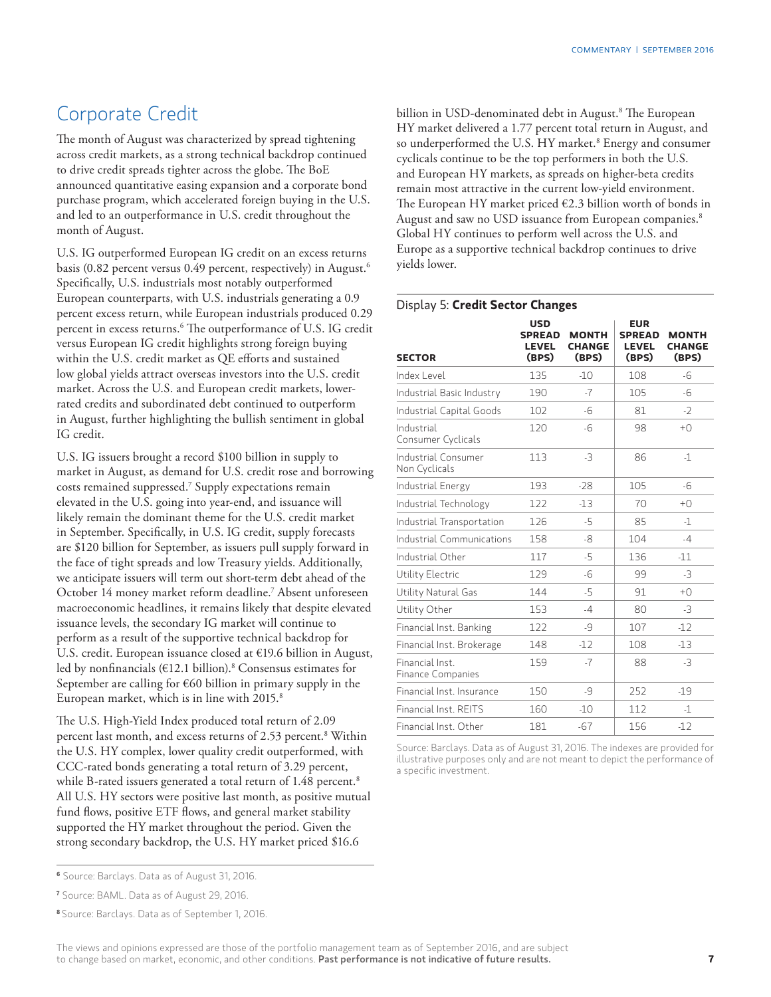### Corporate Credit

The month of August was characterized by spread tightening across credit markets, as a strong technical backdrop continued to drive credit spreads tighter across the globe. The BoE announced quantitative easing expansion and a corporate bond purchase program, which accelerated foreign buying in the U.S. and led to an outperformance in U.S. credit throughout the month of August.

U.S. IG outperformed European IG credit on an excess returns basis (0.82 percent versus 0.49 percent, respectively) in August.<sup>6</sup> Specifically, U.S. industrials most notably outperformed European counterparts, with U.S. industrials generating a 0.9 percent excess return, while European industrials produced 0.29 percent in excess returns.<sup>6</sup> The outperformance of U.S. IG credit versus European IG credit highlights strong foreign buying within the U.S. credit market as QE efforts and sustained low global yields attract overseas investors into the U.S. credit market. Across the U.S. and European credit markets, lowerrated credits and subordinated debt continued to outperform in August, further highlighting the bullish sentiment in global IG credit.

U.S. IG issuers brought a record \$100 billion in supply to market in August, as demand for U.S. credit rose and borrowing costs remained suppressed.7 Supply expectations remain elevated in the U.S. going into year-end, and issuance will likely remain the dominant theme for the U.S. credit market in September. Specifically, in U.S. IG credit, supply forecasts are \$120 billion for September, as issuers pull supply forward in the face of tight spreads and low Treasury yields. Additionally, we anticipate issuers will term out short-term debt ahead of the October 14 money market reform deadline.<sup>7</sup> Absent unforeseen macroeconomic headlines, it remains likely that despite elevated issuance levels, the secondary IG market will continue to perform as a result of the supportive technical backdrop for U.S. credit. European issuance closed at €19.6 billion in August, led by nonfinancials (€12.1 billion).8 Consensus estimates for September are calling for  $\epsilon$ 60 billion in primary supply in the European market, which is in line with 2015.<sup>8</sup>

The U.S. High-Yield Index produced total return of 2.09 percent last month, and excess returns of 2.53 percent.<sup>8</sup> Within the U.S. HY complex, lower quality credit outperformed, with CCC-rated bonds generating a total return of 3.29 percent, while B-rated issuers generated a total return of 1.48 percent.<sup>8</sup> All U.S. HY sectors were positive last month, as positive mutual fund flows, positive ETF flows, and general market stability supported the HY market throughout the period. Given the strong secondary backdrop, the U.S. HY market priced \$16.6

**<sup>6</sup>** Source: Barclays. Data as of August 31, 2016.

**7** Source: BAML. Data as of August 29, 2016.

billion in USD-denominated debt in August.<sup>8</sup> The European HY market delivered a 1.77 percent total return in August, and so underperformed the U.S. HY market.<sup>8</sup> Energy and consumer cyclicals continue to be the top performers in both the U.S. and European HY markets, as spreads on higher-beta credits remain most attractive in the current low-yield environment. The European HY market priced  $\epsilon$ 2.3 billion worth of bonds in August and saw no USD issuance from European companies.<sup>8</sup> Global HY continues to perform well across the U.S. and Europe as a supportive technical backdrop continues to drive yields lower.

#### Display 5: **Credit Sector Changes**

| <b>SECTOR</b>                               | <b>USD</b><br><b>SPREAD</b><br><b>LEVEL</b><br>(BPS) | <b>MONTH</b><br><b>CHANGE</b><br>(BPS) | <b>EUR</b><br><b>SPREAD</b><br><b>LEVEL</b><br>(BPS) | <b>MONTH</b><br><b>CHANGE</b><br>(BPS) |
|---------------------------------------------|------------------------------------------------------|----------------------------------------|------------------------------------------------------|----------------------------------------|
| Index Level                                 | 135                                                  | $-10$                                  | 108                                                  | $-6$                                   |
| Industrial Basic Industry                   | 190                                                  | $-7$                                   | 105                                                  | -6                                     |
| Industrial Capital Goods                    | 102                                                  | -6                                     | 81                                                   | $-2$                                   |
| Industrial<br>Consumer Cyclicals            | 120                                                  | $-6$                                   | 98                                                   | $+()$                                  |
| Industrial Consumer<br>Non Cyclicals        | 113                                                  | $-3$                                   | 86                                                   | $-1$                                   |
| Industrial Energy                           | 193                                                  | $-28$                                  | 105                                                  | $-6$                                   |
| Industrial Technology                       | 122                                                  | $-13$                                  | 70                                                   | $+()$                                  |
| Industrial Transportation                   | 126                                                  | -5                                     | 85                                                   | $-1$                                   |
| Industrial Communications                   | 158                                                  | -8                                     | 104                                                  | $-4$                                   |
| Industrial Other                            | 117                                                  | $-5$                                   | 136                                                  | $-11$                                  |
| Utility Electric                            | 129                                                  | $-6$                                   | 99                                                   | $-3$                                   |
| Utility Natural Gas                         | 144                                                  | $-5$                                   | 91                                                   | $+0$                                   |
| Utility Other                               | 153                                                  | $-4$                                   | 80                                                   | $-3$                                   |
| Financial Inst. Banking                     | 122                                                  | -9                                     | 107                                                  | $-12$                                  |
| Financial Inst. Brokerage                   | 148                                                  | $-12$                                  | 108                                                  | $-13$                                  |
| Financial Inst.<br><b>Finance Companies</b> | 159                                                  | $-7$                                   | 88                                                   | $-3$                                   |
| Financial Inst. Insurance                   | 150                                                  | -9                                     | 252                                                  | $-19$                                  |
| Financial Inst. REITS                       | 160                                                  | $-10$                                  | 112                                                  | $-1$                                   |
| Financial Inst. Other                       | 181                                                  | $-67$                                  | 156                                                  | $-12$                                  |

Source: Barclays. Data as of August 31, 2016. The indexes are provided for illustrative purposes only and are not meant to depict the performance of a specific investment.

**<sup>8</sup>** Source: Barclays. Data as of September 1, 2016.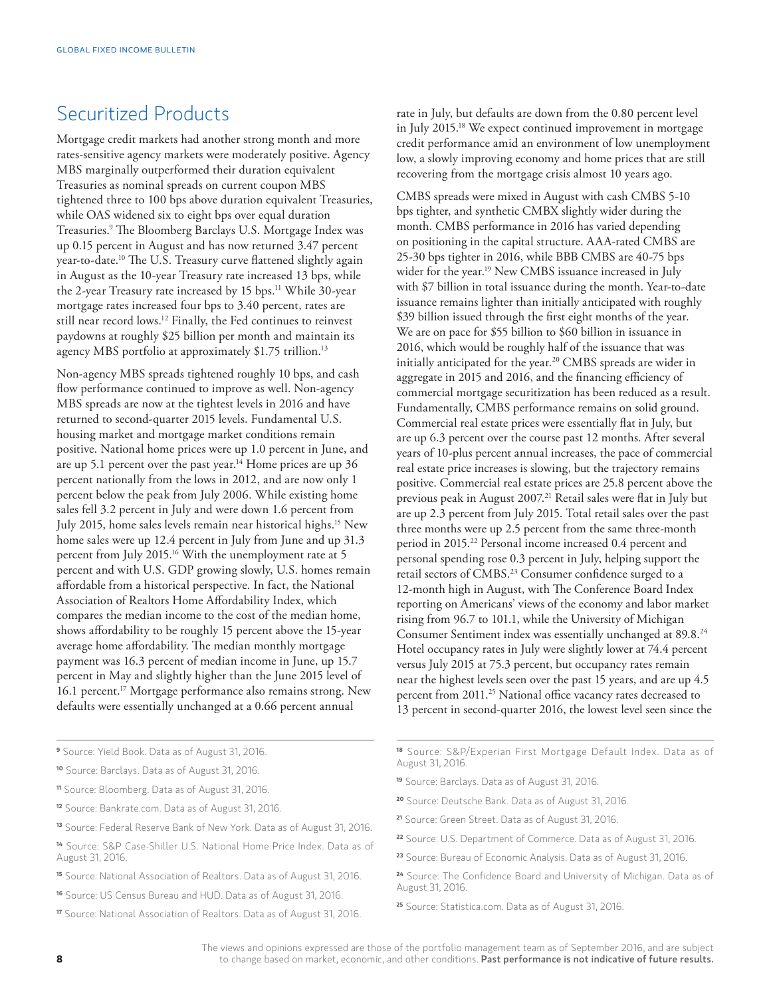### Securitized Products

Mortgage credit markets had another strong month and more rates-sensitive agency markets were moderately positive. Agency MBS marginally outperformed their duration equivalent Treasuries as nominal spreads on current coupon MBS tightened three to 100 bps above duration equivalent Treasuries, while OAS widened six to eight bps over equal duration Treasuries.9 The Bloomberg Barclays U.S. Mortgage Index was up 0.15 percent in August and has now returned 3.47 percent year-to-date.<sup>10</sup> The U.S. Treasury curve flattened slightly again in August as the 10-year Treasury rate increased 13 bps, while the 2-year Treasury rate increased by 15 bps.<sup>11</sup> While 30-year mortgage rates increased four bps to 3.40 percent, rates are still near record lows.<sup>12</sup> Finally, the Fed continues to reinvest paydowns at roughly \$25 billion per month and maintain its agency MBS portfolio at approximately \$1.75 trillion.<sup>13</sup>

Non-agency MBS spreads tightened roughly 10 bps, and cash flow performance continued to improve as well. Non-agency MBS spreads are now at the tightest levels in 2016 and have returned to second-quarter 2015 levels. Fundamental U.S. housing market and mortgage market conditions remain positive. National home prices were up 1.0 percent in June, and are up 5.1 percent over the past year.<sup>14</sup> Home prices are up  $36$ percent nationally from the lows in 2012, and are now only 1 percent below the peak from July 2006. While existing home sales fell 3.2 percent in July and were down 1.6 percent from July 2015, home sales levels remain near historical highs.<sup>15</sup> New home sales were up 12.4 percent in July from June and up 31.3 percent from July 2015.16 With the unemployment rate at 5 percent and with U.S. GDP growing slowly, U.S. homes remain affordable from a historical perspective. In fact, the National Association of Realtors Home Affordability Index, which compares the median income to the cost of the median home, shows affordability to be roughly 15 percent above the 15-year average home affordability. The median monthly mortgage payment was 16.3 percent of median income in June, up 15.7 percent in May and slightly higher than the June 2015 level of 16.1 percent.<sup>17</sup> Mortgage performance also remains strong. New defaults were essentially unchanged at a 0.66 percent annual

**<sup>9</sup>** Source: Yield Book. Data as of August 31, 2016.

**<sup>12</sup>** Source: Bankrate.com. Data as of August 31, 2016.

- **<sup>13</sup>** Source: Federal Reserve Bank of New York. Data as of August 31, 2016.
- **<sup>14</sup>** Source: S&P Case-Shiller U.S. National Home Price Index. Data as of August 31, 2016.
- **<sup>15</sup>** Source: National Association of Realtors. Data as of August 31, 2016.
- **<sup>16</sup>** Source: US Census Bureau and HUD. Data as of August 31, 2016.

rate in July, but defaults are down from the 0.80 percent level in July 2015.18 We expect continued improvement in mortgage credit performance amid an environment of low unemployment low, a slowly improving economy and home prices that are still recovering from the mortgage crisis almost 10 years ago.

CMBS spreads were mixed in August with cash CMBS 5-10 bps tighter, and synthetic CMBX slightly wider during the month. CMBS performance in 2016 has varied depending on positioning in the capital structure. AAA-rated CMBS are 25-30 bps tighter in 2016, while BBB CMBS are 40-75 bps wider for the year.<sup>19</sup> New CMBS issuance increased in July with \$7 billion in total issuance during the month. Year-to-date issuance remains lighter than initially anticipated with roughly \$39 billion issued through the first eight months of the year. We are on pace for \$55 billion to \$60 billion in issuance in 2016, which would be roughly half of the issuance that was initially anticipated for the year.<sup>20</sup> CMBS spreads are wider in aggregate in 2015 and 2016, and the financing efficiency of commercial mortgage securitization has been reduced as a result. Fundamentally, CMBS performance remains on solid ground. Commercial real estate prices were essentially flat in July, but are up 6.3 percent over the course past 12 months. After several years of 10-plus percent annual increases, the pace of commercial real estate price increases is slowing, but the trajectory remains positive. Commercial real estate prices are 25.8 percent above the previous peak in August 2007.<sup>21</sup> Retail sales were flat in July but are up 2.3 percent from July 2015. Total retail sales over the past three months were up 2.5 percent from the same three-month period in 2015.22 Personal income increased 0.4 percent and personal spending rose 0.3 percent in July, helping support the retail sectors of CMBS.23 Consumer confidence surged to a 12-month high in August, with The Conference Board Index reporting on Americans' views of the economy and labor market rising from 96.7 to 101.1, while the University of Michigan Consumer Sentiment index was essentially unchanged at 89.8.24 Hotel occupancy rates in July were slightly lower at 74.4 percent versus July 2015 at 75.3 percent, but occupancy rates remain near the highest levels seen over the past 15 years, and are up 4.5 percent from 2011.25 National office vacancy rates decreased to 13 percent in second-quarter 2016, the lowest level seen since the

- **<sup>19</sup>** Source: Barclays. Data as of August 31, 2016.
- **<sup>20</sup>** Source: Deutsche Bank. Data as of August 31, 2016.
- **<sup>21</sup>** Source: Green Street. Data as of August 31, 2016.
- **<sup>22</sup>** Source: U.S. Department of Commerce. Data as of August 31, 2016.
- **<sup>23</sup>** Source: Bureau of Economic Analysis. Data as of August 31, 2016.
- **<sup>24</sup>** Source: The Confidence Board and University of Michigan. Data as of August 31, 2016.
- **<sup>25</sup>** Source: Statistica.com. Data as of August 31, 2016.

**<sup>10</sup>** Source: Barclays. Data as of August 31, 2016.

**<sup>11</sup>** Source: Bloomberg. Data as of August 31, 2016.

**<sup>17</sup>** Source: National Association of Realtors. Data as of August 31, 2016.

**<sup>18</sup>** Source: S&P/Experian First Mortgage Default Index. Data as of August 31, 2016.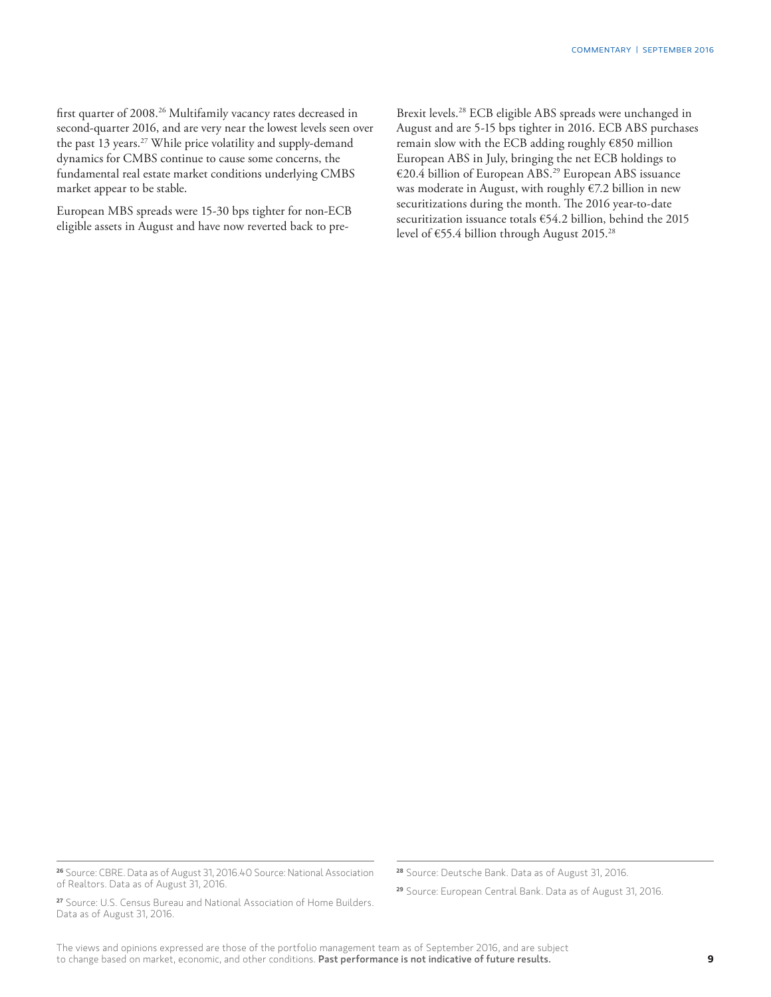first quarter of 2008.<sup>26</sup> Multifamily vacancy rates decreased in second-quarter 2016, and are very near the lowest levels seen over the past 13 years.<sup>27</sup> While price volatility and supply-demand dynamics for CMBS continue to cause some concerns, the fundamental real estate market conditions underlying CMBS market appear to be stable.

European MBS spreads were 15-30 bps tighter for non-ECB eligible assets in August and have now reverted back to preBrexit levels.28 ECB eligible ABS spreads were unchanged in August and are 5-15 bps tighter in 2016. ECB ABS purchases remain slow with the ECB adding roughly €850 million European ABS in July, bringing the net ECB holdings to €20.4 billion of European ABS.29 European ABS issuance was moderate in August, with roughly €7.2 billion in new securitizations during the month. The 2016 year-to-date securitization issuance totals €54.2 billion, behind the 2015 level of €55.4 billion through August 2015.28

**<sup>26</sup>** Source: CBRE. Data as of August 31, 2016.40 Source: National Association of Realtors. Data as of August 31, 2016.

**<sup>28</sup>** Source: Deutsche Bank. Data as of August 31, 2016.

**<sup>27</sup>** Source: U.S. Census Bureau and National Association of Home Builders. Data as of August 31, 2016.

**<sup>29</sup>** Source: European Central Bank. Data as of August 31, 2016.

The views and opinions expressed are those of the portfolio management team as of September 2016, and are subject to change based on market, economic, and other conditions. Past performance is not indicative of future results.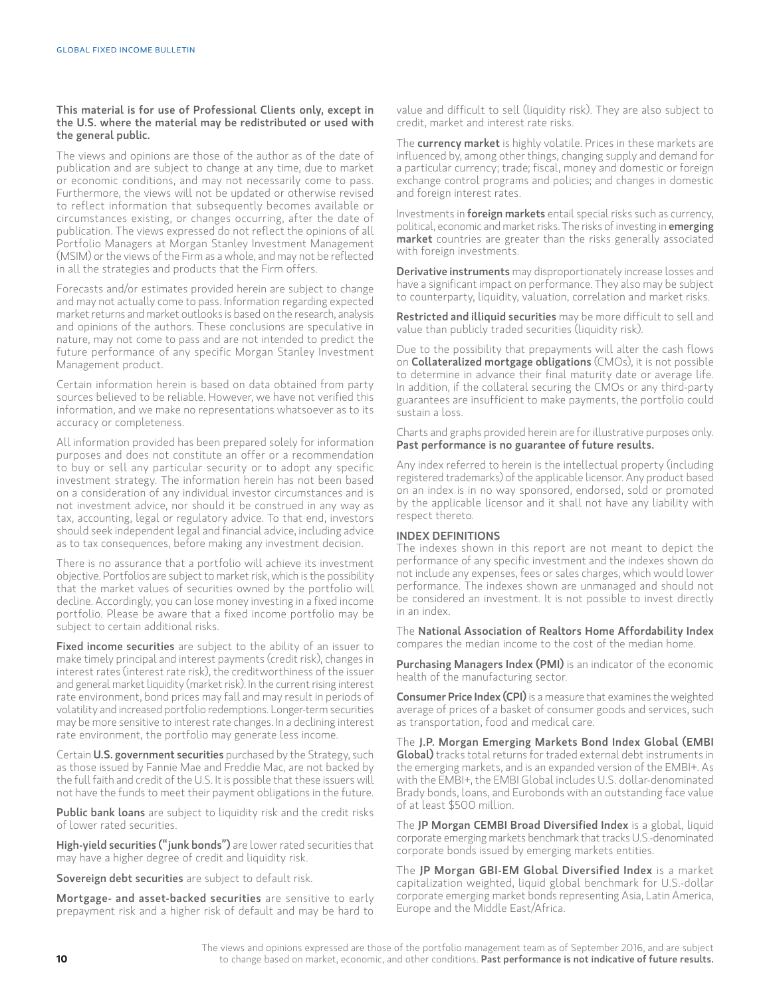#### This material is for use of Professional Clients only, except in the U.S. where the material may be redistributed or used with the general public.

The views and opinions are those of the author as of the date of publication and are subject to change at any time, due to market or economic conditions, and may not necessarily come to pass. Furthermore, the views will not be updated or otherwise revised to reflect information that subsequently becomes available or circumstances existing, or changes occurring, after the date of publication. The views expressed do not reflect the opinions of all Portfolio Managers at Morgan Stanley Investment Management (MSIM) or the views of the Firm as a whole, and may not be reflected in all the strategies and products that the Firm offers.

Forecasts and/or estimates provided herein are subject to change and may not actually come to pass. Information regarding expected market returns and market outlooks is based on the research, analysis and opinions of the authors. These conclusions are speculative in nature, may not come to pass and are not intended to predict the future performance of any specific Morgan Stanley Investment Management product.

Certain information herein is based on data obtained from party sources believed to be reliable. However, we have not verified this information, and we make no representations whatsoever as to its accuracy or completeness.

All information provided has been prepared solely for information purposes and does not constitute an offer or a recommendation to buy or sell any particular security or to adopt any specific investment strategy. The information herein has not been based on a consideration of any individual investor circumstances and is not investment advice, nor should it be construed in any way as tax, accounting, legal or regulatory advice. To that end, investors should seek independent legal and financial advice, including advice as to tax consequences, before making any investment decision.

There is no assurance that a portfolio will achieve its investment objective. Portfolios are subject to market risk, which is the possibility that the market values of securities owned by the portfolio will decline. Accordingly, you can lose money investing in a fixed income portfolio. Please be aware that a fixed income portfolio may be subject to certain additional risks.

**Fixed income securities** are subject to the ability of an issuer to make timely principal and interest payments (credit risk), changes in interest rates (interest rate risk), the creditworthiness of the issuer and general market liquidity (market risk). In the current rising interest rate environment, bond prices may fall and may result in periods of volatility and increased portfolio redemptions. Longer-term securities may be more sensitive to interest rate changes. In a declining interest rate environment, the portfolio may generate less income.

Certain U.S. government securities purchased by the Strategy, such as those issued by Fannie Mae and Freddie Mac, are not backed by the full faith and credit of the U.S. It is possible that these issuers will not have the funds to meet their payment obligations in the future.

**Public bank loans** are subject to liquidity risk and the credit risks of lower rated securities.

High-yield securities ("junk bonds") are lower rated securities that may have a higher degree of credit and liquidity risk.

Sovereign debt securities are subject to default risk.

Mortgage- and asset-backed securities are sensitive to early prepayment risk and a higher risk of default and may be hard to value and difficult to sell (liquidity risk). They are also subject to credit, market and interest rate risks.

The **currency market** is highly volatile. Prices in these markets are influenced by, among other things, changing supply and demand for a particular currency; trade; fiscal, money and domestic or foreign exchange control programs and policies; and changes in domestic and foreign interest rates.

Investments in foreign markets entail special risks such as currency, political, economic and market risks. The risks of investing in *emerging* market countries are greater than the risks generally associated with foreign investments.

**Derivative instruments** may disproportionately increase losses and have a significant impact on performance. They also may be subject to counterparty, liquidity, valuation, correlation and market risks.

Restricted and illiquid securities may be more difficult to sell and value than publicly traded securities (liquidity risk).

Due to the possibility that prepayments will alter the cash flows on Collateralized mortgage obligations (CMOs), it is not possible to determine in advance their final maturity date or average life. In addition, if the collateral securing the CMOs or any third-party guarantees are insufficient to make payments, the portfolio could sustain a loss.

Charts and graphs provided herein are for illustrative purposes only. Past performance is no guarantee of future results.

Any index referred to herein is the intellectual property (including registered trademarks) of the applicable licensor. Any product based on an index is in no way sponsored, endorsed, sold or promoted by the applicable licensor and it shall not have any liability with respect thereto.

#### INDEX DEFINITIONS

The indexes shown in this report are not meant to depict the performance of any specific investment and the indexes shown do not include any expenses, fees or sales charges, which would lower performance. The indexes shown are unmanaged and should not be considered an investment. It is not possible to invest directly in an index.

The National Association of Realtors Home Affordability Index compares the median income to the cost of the median home.

Purchasing Managers Index (PMI) is an indicator of the economic health of the manufacturing sector.

Consumer Price Index (CPI) is a measure that examines the weighted average of prices of a basket of consumer goods and services, such as transportation, food and medical care.

The J.P. Morgan Emerging Markets Bond Index Global (EMBI Global) tracks total returns for traded external debt instruments in the emerging markets, and is an expanded version of the EMBI+. As with the EMBI+, the EMBI Global includes U.S. dollar-denominated Brady bonds, loans, and Eurobonds with an outstanding face value of at least \$500 million.

The JP Morgan CEMBI Broad Diversified Index is a global, liquid corporate emerging markets benchmark that tracks U.S.-denominated corporate bonds issued by emerging markets entities.

The JP Morgan GBI-EM Global Diversified Index is a market capitalization weighted, liquid global benchmark for U.S.-dollar corporate emerging market bonds representing Asia, Latin America, Europe and the Middle East/Africa.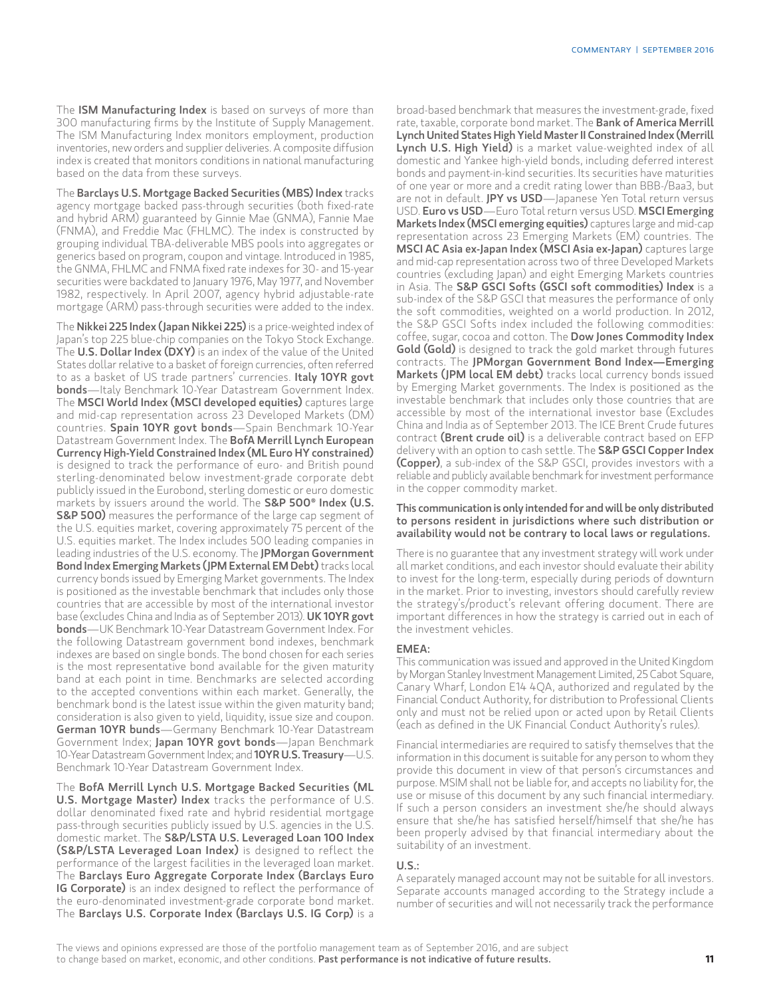The ISM Manufacturing Index is based on surveys of more than 300 manufacturing firms by the Institute of Supply Management. The ISM Manufacturing Index monitors employment, production inventories, new orders and supplier deliveries. A composite diffusion index is created that monitors conditions in national manufacturing based on the data from these surveys.

The Barclays U.S. Mortgage Backed Securities (MBS) Index tracks agency mortgage backed pass-through securities (both fixed-rate and hybrid ARM) guaranteed by Ginnie Mae (GNMA), Fannie Mae (FNMA), and Freddie Mac (FHLMC). The index is constructed by grouping individual TBA-deliverable MBS pools into aggregates or generics based on program, coupon and vintage. Introduced in 1985, the GNMA, FHLMC and FNMA fixed rate indexes for 30- and 15-year securities were backdated to January 1976, May 1977, and November 1982, respectively. In April 2007, agency hybrid adjustable-rate mortgage (ARM) pass-through securities were added to the index.

The Nikkei 225 Index (Japan Nikkei 225) is a price-weighted index of Japan's top 225 blue-chip companies on the Tokyo Stock Exchange. The U.S. Dollar Index (DXY) is an index of the value of the United States dollar relative to a basket of foreign currencies, often referred to as a basket of US trade partners' currencies. Italy 10YR govt bonds—Italy Benchmark 10-Year Datastream Government Index. The MSCI World Index (MSCI developed equities) captures large and mid-cap representation across 23 Developed Markets (DM) countries. Spain 10YR govt bonds-Spain Benchmark 10-Year Datastream Government Index. The BofA Merrill Lynch European Currency High-Yield Constrained Index (ML Euro HY constrained) is designed to track the performance of euro- and British pound sterling-denominated below investment-grade corporate debt publicly issued in the Eurobond, sterling domestic or euro domestic markets by issuers around the world. The S&P 500<sup>®</sup> Index (U.S. S&P 500) measures the performance of the large cap segment of the U.S. equities market, covering approximately 75 percent of the U.S. equities market. The Index includes 500 leading companies in leading industries of the U.S. economy. The JPMorgan Government Bond Index Emerging Markets (JPM External EM Debt) tracks local currency bonds issued by Emerging Market governments. The Index is positioned as the investable benchmark that includes only those countries that are accessible by most of the international investor base (excludes China and India as of September 2013). UK 10YR govt bonds—UK Benchmark 10-Year Datastream Government Index. For the following Datastream government bond indexes, benchmark indexes are based on single bonds. The bond chosen for each series is the most representative bond available for the given maturity band at each point in time. Benchmarks are selected according to the accepted conventions within each market. Generally, the benchmark bond is the latest issue within the given maturity band; consideration is also given to yield, liquidity, issue size and coupon. German 10YR bunds-Germany Benchmark 10-Year Datastream Government Index; Japan 10YR govt bonds-Japan Benchmark 10-Year Datastream Government Index; and 10YR U.S. Treasury-U.S. Benchmark 10-Year Datastream Government Index.

The BofA Merrill Lynch U.S. Mortgage Backed Securities (ML U.S. Mortgage Master) Index tracks the performance of U.S. dollar denominated fixed rate and hybrid residential mortgage pass-through securities publicly issued by U.S. agencies in the U.S. domestic market. The S&P/LSTA U.S. Leveraged Loan 100 Index (S&P/LSTA Leveraged Loan Index) is designed to reflect the performance of the largest facilities in the leveraged loan market. The Barclays Euro Aggregate Corporate Index (Barclays Euro **IG Corporate)** is an index designed to reflect the performance of the euro-denominated investment-grade corporate bond market. The Barclays U.S. Corporate Index (Barclays U.S. IG Corp) is a

broad-based benchmark that measures the investment-grade, fixed rate, taxable, corporate bond market. The **Bank of America Merrill** Lynch United States High Yield Master II Constrained Index (Merrill Lynch U.S. High Yield) is a market value-weighted index of all domestic and Yankee high-yield bonds, including deferred interest bonds and payment-in-kind securities. Its securities have maturities of one year or more and a credit rating lower than BBB-/Baa3, but are not in default. JPY vs USD-Japanese Yen Total return versus USD. Euro vs USD—Euro Total return versus USD. MSCI Emerging Markets Index (MSCI emerging equities) captures large and mid-cap representation across 23 Emerging Markets (EM) countries. The MSCI AC Asia ex-Japan Index (MSCI Asia ex-Japan) captures large and mid-cap representation across two of three Developed Markets countries (excluding Japan) and eight Emerging Markets countries in Asia. The S&P GSCI Softs (GSCI soft commodities) Index is a sub-index of the S&P GSCI that measures the performance of only the soft commodities, weighted on a world production. In 2012, the S&P GSCI Softs index included the following commodities: coffee, sugar, cocoa and cotton. The Dow Jones Commodity Index Gold (Gold) is designed to track the gold market through futures contracts. The JPMorgan Government Bond Index—Emerging Markets (JPM local EM debt) tracks local currency bonds issued by Emerging Market governments. The Index is positioned as the investable benchmark that includes only those countries that are accessible by most of the international investor base (Excludes China and India as of September 2013. The ICE Brent Crude futures contract (**Brent crude oil**) is a deliverable contract based on EFP delivery with an option to cash settle. The **S&P GSCI Copper Index** (Copper), a sub-index of the S&P GSCI, provides investors with a reliable and publicly available benchmark for investment performance in the copper commodity market.

#### This communication is only intended for and will be only distributed to persons resident in jurisdictions where such distribution or availability would not be contrary to local laws or regulations.

There is no guarantee that any investment strategy will work under all market conditions, and each investor should evaluate their ability to invest for the long-term, especially during periods of downturn in the market. Prior to investing, investors should carefully review the strategy's/product's relevant offering document. There are important differences in how the strategy is carried out in each of the investment vehicles.

#### EMEA:

This communication was issued and approved in the United Kingdom by Morgan Stanley Investment Management Limited, 25 Cabot Square, Canary Wharf, London E14 4QA, authorized and regulated by the Financial Conduct Authority, for distribution to Professional Clients only and must not be relied upon or acted upon by Retail Clients (each as defined in the UK Financial Conduct Authority's rules).

Financial intermediaries are required to satisfy themselves that the information in this document is suitable for any person to whom they provide this document in view of that person's circumstances and purpose. MSIM shall not be liable for, and accepts no liability for, the use or misuse of this document by any such financial intermediary. If such a person considers an investment she/he should always ensure that she/he has satisfied herself/himself that she/he has been properly advised by that financial intermediary about the suitability of an investment.

#### U.S.:

A separately managed account may not be suitable for all investors. Separate accounts managed according to the Strategy include a number of securities and will not necessarily track the performance